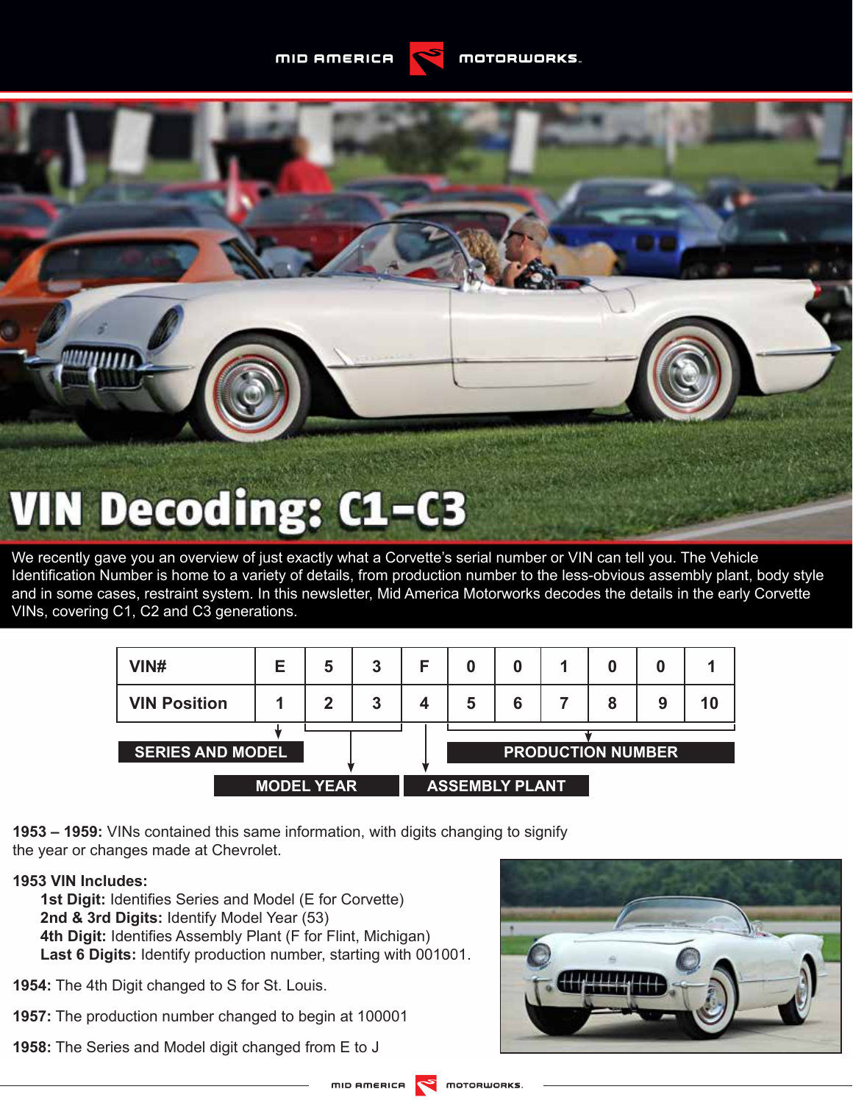**MID AMERICA** 



We recently gave you an overview of just exactly what a Corvette's serial number or VIN can tell you. The Vehicle Identification Number is home to a variety of details, from production number to the less-obvious assembly plant, body style and in some cases, restraint system. In this newsletter, Mid America Motorworks decodes the details in the early Corvette VINs, covering C1, C2 and C3 generations.

| VIN#                    | Е | 5 | 3 | F                        |   | 0 |  | 0 |   |  |
|-------------------------|---|---|---|--------------------------|---|---|--|---|---|--|
| <b>VIN Position</b>     |   | 2 | 3 |                          | 5 | 6 |  | 8 | 9 |  |
|                         |   |   |   |                          |   |   |  |   |   |  |
| <b>SERIES AND MODEL</b> |   |   |   | <b>PRODUCTION NUMBER</b> |   |   |  |   |   |  |
|                         |   |   |   |                          |   |   |  |   |   |  |
| <b>MODEL YEAR</b>       |   |   |   | <b>ASSEMBLY PLANT</b>    |   |   |  |   |   |  |

**1953 – 1959:** VINs contained this same information, with digits changing to signify the year or changes made at Chevrolet.

# **1953 VIN Includes:**

**1st Digit:** Identifies Series and Model (E for Corvette) **2nd & 3rd Digits:** Identify Model Year (53) **4th Digit:** Identifies Assembly Plant (F for Flint, Michigan) **Last 6 Digits:** Identify production number, starting with 001001.

**1954:** The 4th Digit changed to S for St. Louis.

**1957:** The production number changed to begin at 100001

**1958:** The Series and Model digit changed from E to J

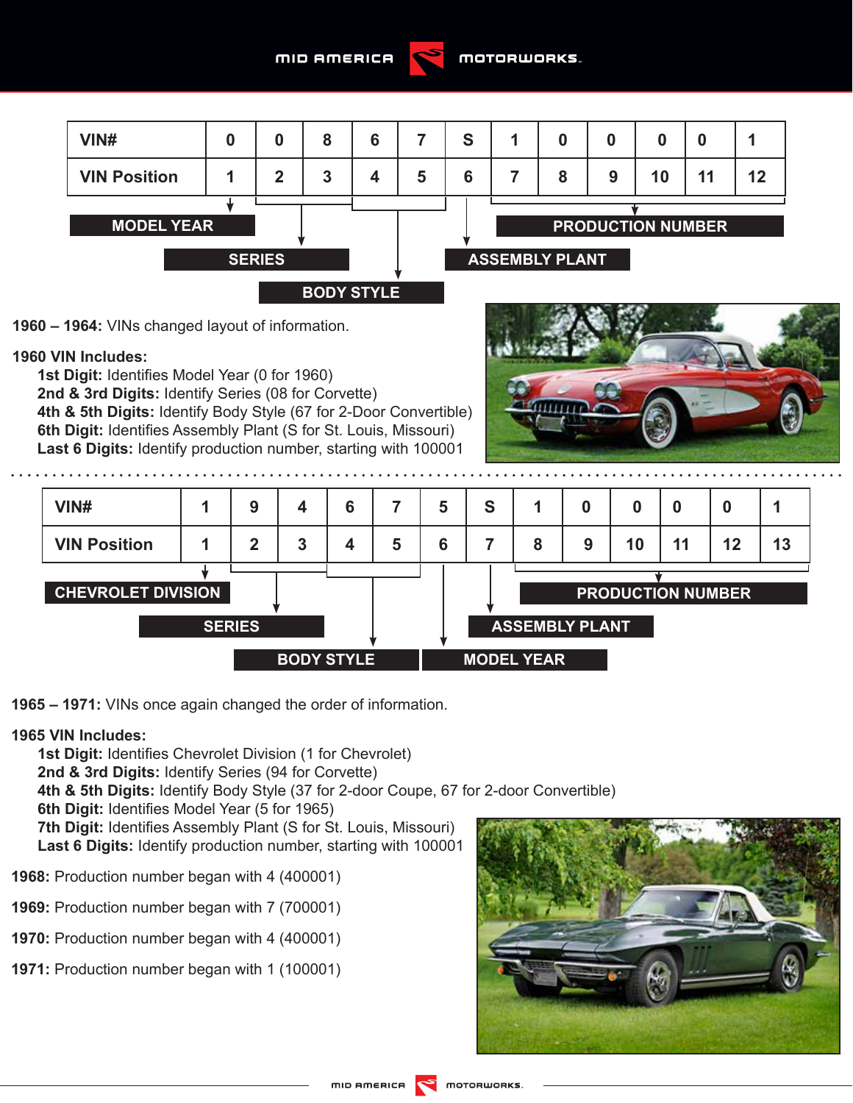



**1960 – 1964:** VINs changed layout of information.

# **1960 VIN Includes:**

**1st Digit:** Identifies Model Year (0 for 1960) **2nd & 3rd Digits:** Identify Series (08 for Corvette) **4th & 5th Digits:** Identify Body Style (67 for 2-Door Convertible) **6th Digit:** Identifies Assembly Plant (S for St. Louis, Missouri) **Last 6 Digits:** Identify production number, starting with 100001





**1965 – 1971:** VINs once again changed the order of information.

## **1965 VIN Includes:**

**1st Digit: Identifies Chevrolet Division (1 for Chevrolet) 2nd & 3rd Digits:** Identify Series (94 for Corvette) **4th & 5th Digits:** Identify Body Style (37 for 2-door Coupe, 67 for 2-door Convertible) **6th Digit:** Identifies Model Year (5 for 1965) **7th Digit:** Identifies Assembly Plant (S for St. Louis, Missouri) **Last 6 Digits:** Identify production number, starting with 100001 **1968:** Production number began with 4 (400001)

- **1969:** Production number began with 7 (700001)
- **1970:** Production number began with 4 (400001)
- **1971:** Production number began with 1 (100001)

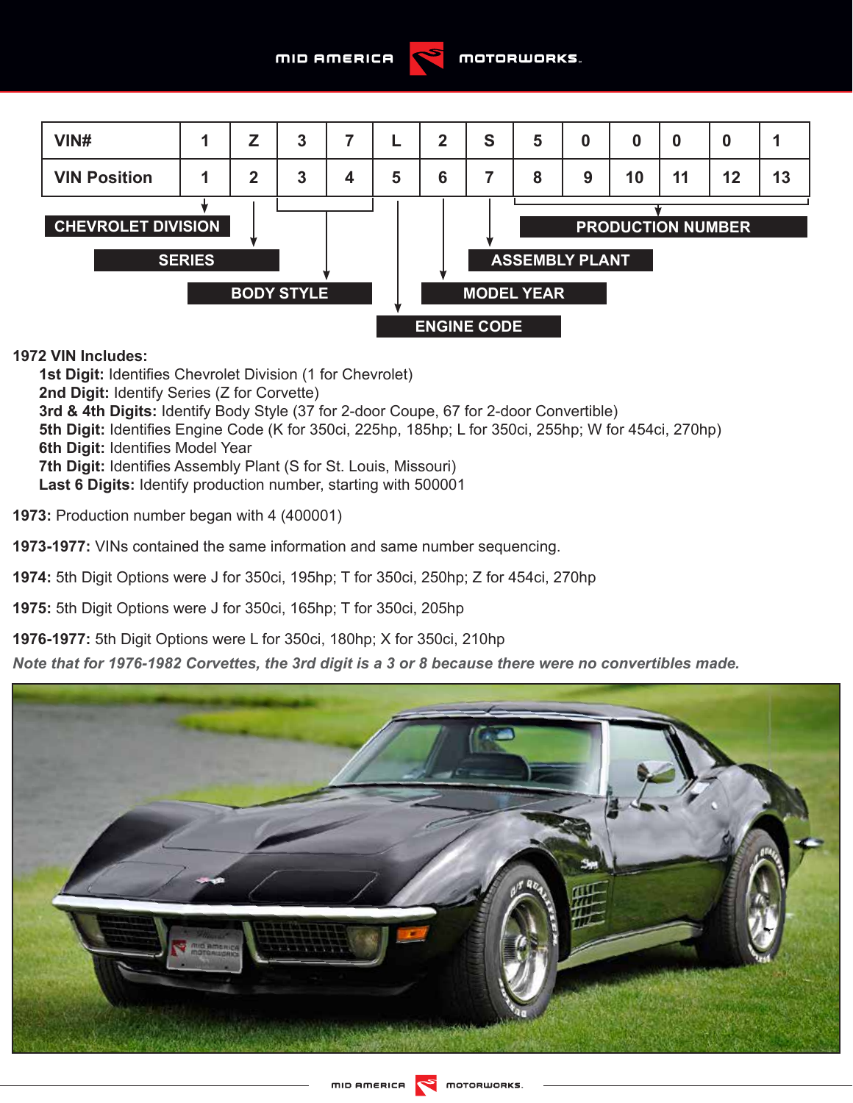



# **1972 VIN Includes:**

**1st Digit:** Identifies Chevrolet Division (1 for Chevrolet) **2nd Digit:** Identify Series (Z for Corvette) **3rd & 4th Digits:** Identify Body Style (37 for 2-door Coupe, 67 for 2-door Convertible) **5th Digit:** Identifies Engine Code (K for 350ci, 225hp, 185hp; L for 350ci, 255hp; W for 454ci, 270hp) **6th Digit:** Identifies Model Year **7th Digit:** Identifies Assembly Plant (S for St. Louis, Missouri) **Last 6 Digits:** Identify production number, starting with 500001

**1973:** Production number began with 4 (400001)

**1973-1977:** VINs contained the same information and same number sequencing.

**1974:** 5th Digit Options were J for 350ci, 195hp; T for 350ci, 250hp; Z for 454ci, 270hp

**1975:** 5th Digit Options were J for 350ci, 165hp; T for 350ci, 205hp

**1976-1977:** 5th Digit Options were L for 350ci, 180hp; X for 350ci, 210hp

*Note that for 1976-1982 Corvettes, the 3rd digit is a 3 or 8 because there were no convertibles made.* 

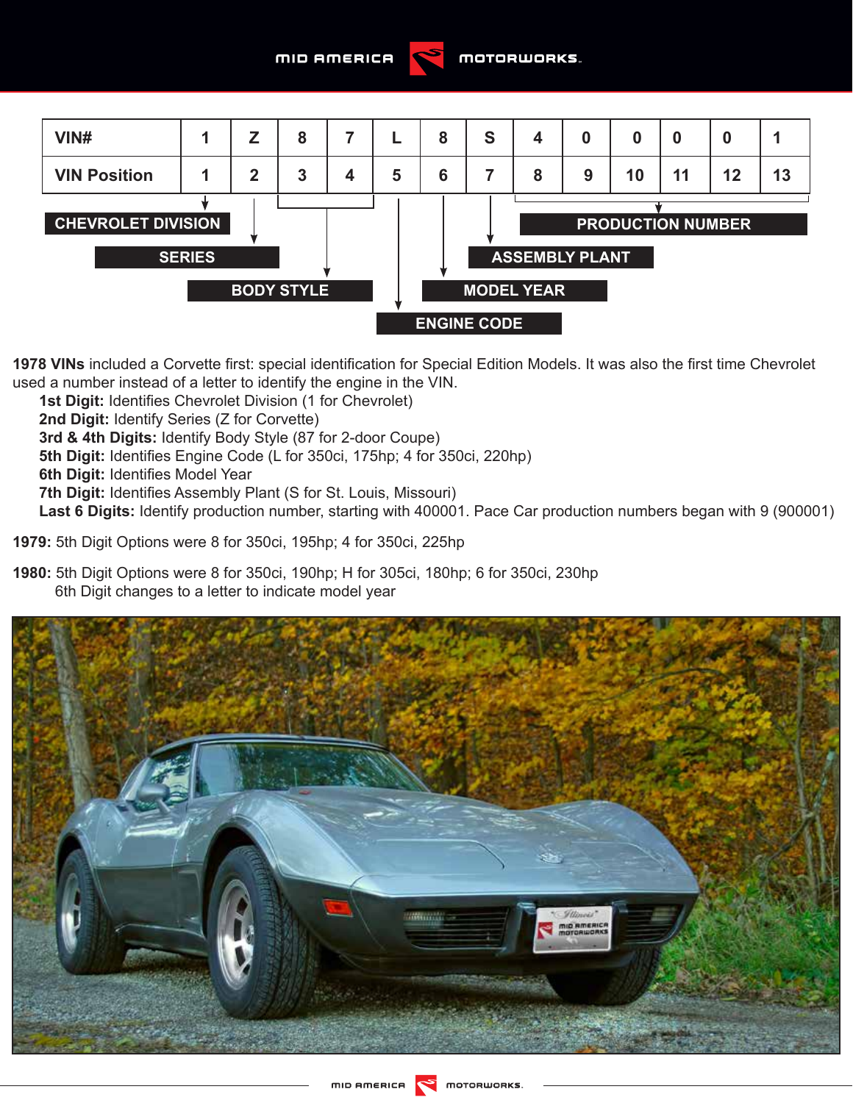



**1978 VINs** included a Corvette first: special identification for Special Edition Models. It was also the first time Chevrolet used a number instead of a letter to identify the engine in the VIN.

**1st Digit:** Identifies Chevrolet Division (1 for Chevrolet)

**2nd Digit:** Identify Series (Z for Corvette)

**3rd & 4th Digits:** Identify Body Style (87 for 2-door Coupe)

**5th Digit:** Identifies Engine Code (L for 350ci, 175hp; 4 for 350ci, 220hp)

**6th Digit:** Identifies Model Year

**7th Digit:** Identifies Assembly Plant (S for St. Louis, Missouri)

**Last 6 Digits:** Identify production number, starting with 400001. Pace Car production numbers began with 9 (900001)

**1979:** 5th Digit Options were 8 for 350ci, 195hp; 4 for 350ci, 225hp

**1980:** 5th Digit Options were 8 for 350ci, 190hp; H for 305ci, 180hp; 6 for 350ci, 230hp 6th Digit changes to a letter to indicate model year